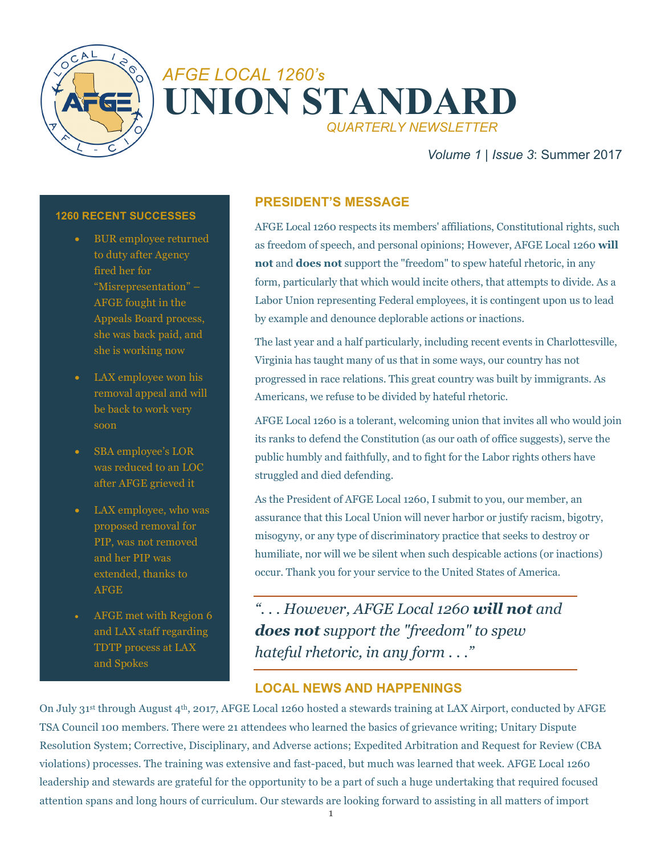

# *AFGE LOCAL 1260'<sup>S</sup>* **UNION STANDARD** *QUARTERLY NEWSLETTER*

## *Volume 1* | *Issue 3*: Summer 2017

#### **1260 RECENT SUCCESSES**

- BUR employee returned to duty after Agency fired her for "Misrepresentation" – AFGE fought in the Appeals Board process, she was back paid, and she is working now
- LAX employee won his removal appeal and will be back to work very soon
- SBA employee's LOR was reduced to an LOC after AFGE grieved it
- LAX employee, who was proposed removal for PIP, was not removed and her PIP was extended, thanks to AFGE
- AFGE met with Region 6 and LAX staff regarding TDTP process at LAX and Spokes

#### **PRESIDENT'S MESSAGE**

AFGE Local 1260 respects its members' affiliations, Constitutional rights, such as freedom of speech, and personal opinions; However, AFGE Local 1260 **will not** and **does not** support the "freedom" to spew hateful rhetoric, in any form, particularly that which would incite others, that attempts to divide. As a Labor Union representing Federal employees, it is contingent upon us to lead by example and denounce deplorable actions or inactions.

The last year and a half particularly, including recent events in Charlottesville, Virginia has taught many of us that in some ways, our country has not progressed in race relations. This great country was built by immigrants. As Americans, we refuse to be divided by hateful rhetoric.

AFGE Local 1260 is a tolerant, welcoming union that invites all who would join its ranks to defend the Constitution (as our oath of office suggests), serve the public humbly and faithfully, and to fight for the Labor rights others have struggled and died defending.

As the President of AFGE Local 1260, I submit to you, our member, an assurance that this Local Union will never harbor or justify racism, bigotry, misogyny, or any type of discriminatory practice that seeks to destroy or humiliate, nor will we be silent when such despicable actions (or inactions) occur. Thank you for your service to the United States of America.

*". . . However, AFGE Local 1260 will not and does not support the "freedom" to spew hateful rhetoric, in any form . . ."*

#### **LOCAL NEWS AND HAPPENINGS**

On July 31st through August 4th, 2017, AFGE Local 1260 hosted a stewards training at LAX Airport, conducted by AFGE TSA Council 100 members. There were 21 attendees who learned the basics of grievance writing; Unitary Dispute Resolution System; Corrective, Disciplinary, and Adverse actions; Expedited Arbitration and Request for Review (CBA violations) processes. The training was extensive and fast-paced, but much was learned that week. AFGE Local 1260 leadership and stewards are grateful for the opportunity to be a part of such a huge undertaking that required focused attention spans and long hours of curriculum. Our stewards are looking forward to assisting in all matters of import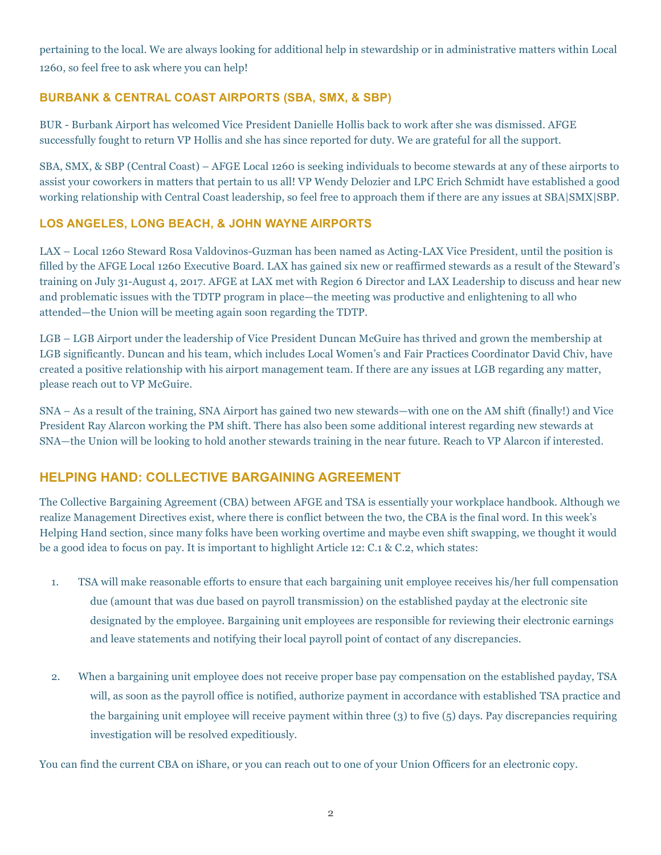pertaining to the local. We are always looking for additional help in stewardship or in administrative matters within Local 1260, so feel free to ask where you can help!

#### **BURBANK & CENTRAL COAST AIRPORTS (SBA, SMX, & SBP)**

BUR - Burbank Airport has welcomed Vice President Danielle Hollis back to work after she was dismissed. AFGE successfully fought to return VP Hollis and she has since reported for duty. We are grateful for all the support.

SBA, SMX, & SBP (Central Coast) – AFGE Local 1260 is seeking individuals to become stewards at any of these airports to assist your coworkers in matters that pertain to us all! VP Wendy Delozier and LPC Erich Schmidt have established a good working relationship with Central Coast leadership, so feel free to approach them if there are any issues at SBA|SMX|SBP.

#### **LOS ANGELES, LONG BEACH, & JOHN WAYNE AIRPORTS**

LAX – Local 1260 Steward Rosa Valdovinos-Guzman has been named as Acting-LAX Vice President, until the position is filled by the AFGE Local 1260 Executive Board. LAX has gained six new or reaffirmed stewards as a result of the Steward's training on July 31-August 4, 2017. AFGE at LAX met with Region 6 Director and LAX Leadership to discuss and hear new and problematic issues with the TDTP program in place—the meeting was productive and enlightening to all who attended—the Union will be meeting again soon regarding the TDTP.

LGB – LGB Airport under the leadership of Vice President Duncan McGuire has thrived and grown the membership at LGB significantly. Duncan and his team, which includes Local Women's and Fair Practices Coordinator David Chiv, have created a positive relationship with his airport management team. If there are any issues at LGB regarding any matter, please reach out to VP McGuire.

SNA – As a result of the training, SNA Airport has gained two new stewards—with one on the AM shift (finally!) and Vice President Ray Alarcon working the PM shift. There has also been some additional interest regarding new stewards at SNA—the Union will be looking to hold another stewards training in the near future. Reach to VP Alarcon if interested.

## **HELPING HAND: COLLECTIVE BARGAINING AGREEMENT**

The Collective Bargaining Agreement (CBA) between AFGE and TSA is essentially your workplace handbook. Although we realize Management Directives exist, where there is conflict between the two, the CBA is the final word. In this week's Helping Hand section, since many folks have been working overtime and maybe even shift swapping, we thought it would be a good idea to focus on pay. It is important to highlight Article 12: C.1 & C.2, which states:

- 1. TSA will make reasonable efforts to ensure that each bargaining unit employee receives his/her full compensation due (amount that was due based on payroll transmission) on the established payday at the electronic site designated by the employee. Bargaining unit employees are responsible for reviewing their electronic earnings and leave statements and notifying their local payroll point of contact of any discrepancies*.*
- 2. When a bargaining unit employee does not receive proper base pay compensation on the established payday, TSA will, as soon as the payroll office is notified, authorize payment in accordance with established TSA practice and the bargaining unit employee will receive payment within three (3) to five (5) days. Pay discrepancies requiring investigation will be resolved expeditiously.

You can find the current CBA on iShare, or you can reach out to one of your Union Officers for an electronic copy.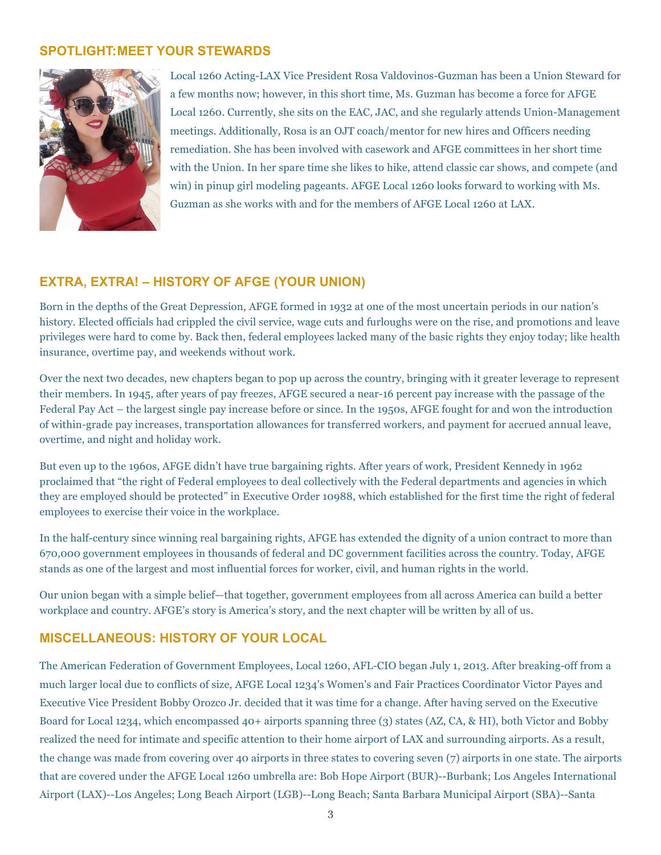### **SPOTLIGHT:MEET YOUR STEWARDS**



Local 1260 Acting-LAX Vice President Rosa Valdovinos-Guzman has been a Union Steward for a few months now; however, in this short time, Ms. Guzman has become a force for AFGE Local 1260. Currently, she sits on the EAC, JAC, and she regularly attends Union-Management meetings. Additionally, Rosa is an OJT coach/mentor for new hires and Officers needing remediation. She has been involved with casework and AFGE committees in her short time with the Union. In her spare time she likes to hike, attend classic car shows, and compete (and win) in pinup girl modeling pageants. AFGE Local 1260 looks forward to working with Ms. Guzman as she works with and for the members of AFGE Local 1260 at LAX.

#### **EXTRA, EXTRA! – HISTORY OF AFGE (YOUR UNION)**

Born in the depths of the Great Depression, AFGE formed in 1932 at one of the most uncertain periods in our nation's history. Elected officials had crippled the civil service, wage cuts and furloughs were on the rise, and promotions and leave privileges were hard to come by. Back then, federal employees lacked many of the basic rights they enjoy today; like health insurance, overtime pay, and weekends without work.

Over the next two decades, new chapters began to pop up across the country, bringing with it greater leverage to represent their members. In 1945, after years of pay freezes, AFGE secured a near-16 percent pay increase with the passage of the Federal Pay Act – the largest single pay increase before or since. In the 1950s, AFGE fought for and won the introduction of within-grade pay increases, transportation allowances for transferred workers, and payment for accrued annual leave, overtime, and night and holiday work.

But even up to the 1960s, AFGE didn't have true bargaining rights. After years of work, President Kennedy in 1962 proclaimed that "the right of Federal employees to deal collectively with the Federal departments and agencies in which they are employed should be protected" in Executive Order 10988, which established for the first time the right of federal employees to exercise their voice in the workplace.

In the half-century since winning real bargaining rights, AFGE has extended the dignity of a union contract to more than 670,000 government employees in thousands of federal and DC government facilities across the country. Today, AFGE stands as one of the largest and most influential forces for worker, civil, and human rights in the world.

Our union began with a simple belief—that together, government employees from all across America can build a better workplace and country. AFGE's story is America's story, and the next chapter will be written by all of us.

#### **MISCELLANEOUS: HISTORY OF YOUR LOCAL**

The American Federation of Government Employees, Local 1260, AFL-CIO began July 1, 2013. After breaking-off from a much larger local due to conflicts of size, AFGE Local 1234's Women's and Fair Practices Coordinator Victor Payes and Executive Vice President Bobby Orozco Jr. decided that it was time for a change. After having served on the Executive Board for Local 1234, which encompassed 40+ airports spanning three (3) states (AZ, CA, & HI), both Victor and Bobby realized the need for intimate and specific attention to their home airport of LAX and surrounding airports. As a result, the change was made from covering over 40 airports in three states to covering seven (7) airports in one state. The airports that are covered under the AFGE Local 1260 umbrella are: Bob Hope Airport (BUR)--Burbank; Los Angeles International Airport (LAX)--Los Angeles; Long Beach Airport (LGB)--Long Beach; Santa Barbara Municipal Airport (SBA)--Santa